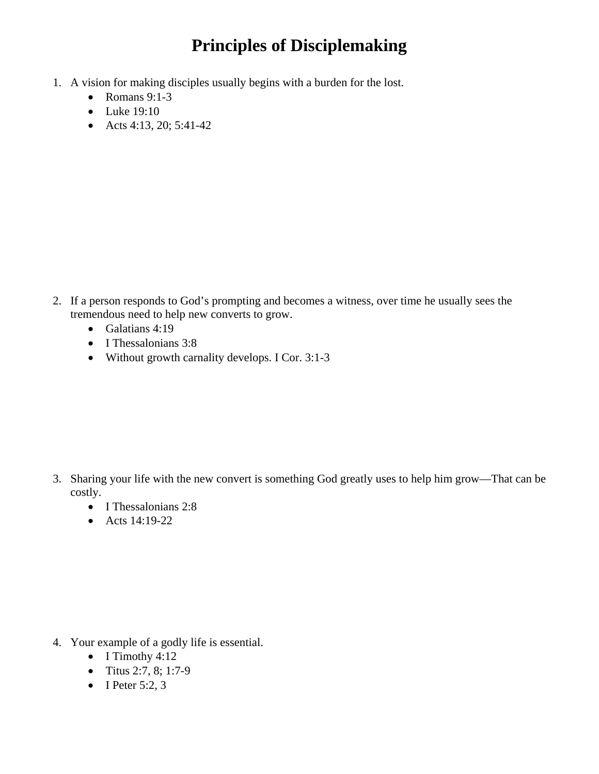## **Principles of Disciplemaking**

- 1. A vision for making disciples usually begins with a burden for the lost.
	- Romans  $9:1-3$
	- Luke 19:10
	- Acts 4:13, 20; 5:41-42

- 2. If a person responds to God's prompting and becomes a witness, over time he usually sees the tremendous need to help new converts to grow.
	- Galatians 4:19
	- I Thessalonians 3:8
	- Without growth carnality develops. I Cor. 3:1-3

- 3. Sharing your life with the new convert is something God greatly uses to help him grow—That can be costly.
	- I Thessalonians 2:8
	- Acts 14:19-22

- 4. Your example of a godly life is essential.
	- I Timothy 4:12
	- Titus 2:7, 8; 1:7-9
	- I Peter  $5:2, 3$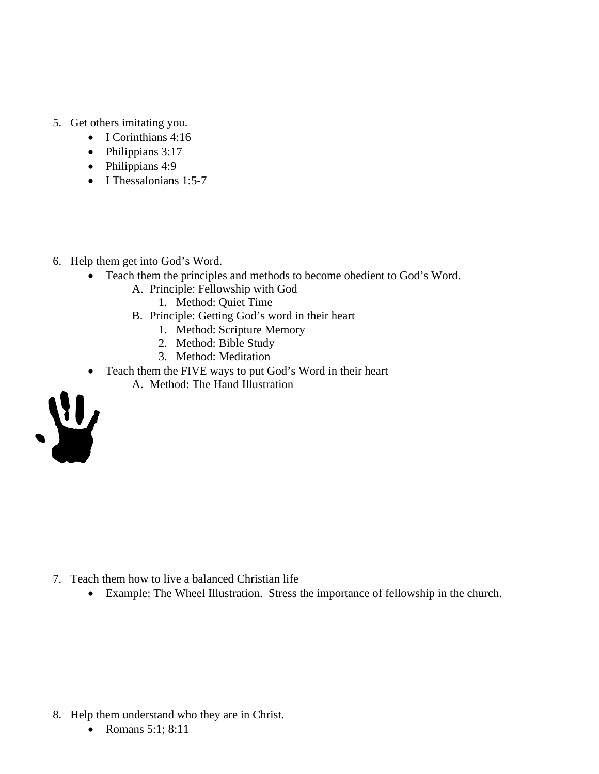- 5. Get others imitating you.
	- I Corinthians 4:16
	- Philippians 3:17
	- Philippians 4:9
	- I Thessalonians 1:5-7
- 6. Help them get into God's Word.
	- Teach them the principles and methods to become obedient to God's Word.
		- A. Principle: Fellowship with God
			- 1. Method: Quiet Time
		- B. Principle: Getting God's word in their heart
			- 1. Method: Scripture Memory
			- 2. Method: Bible Study
			- 3. Method: Meditation
	- Teach them the FIVE ways to put God's Word in their heart
		- A. Method: The Hand Illustration



- 7. Teach them how to live a balanced Christian life
	- Example: The Wheel Illustration. Stress the importance of fellowship in the church.

- 8. Help them understand who they are in Christ.
	- Romans 5:1; 8:11